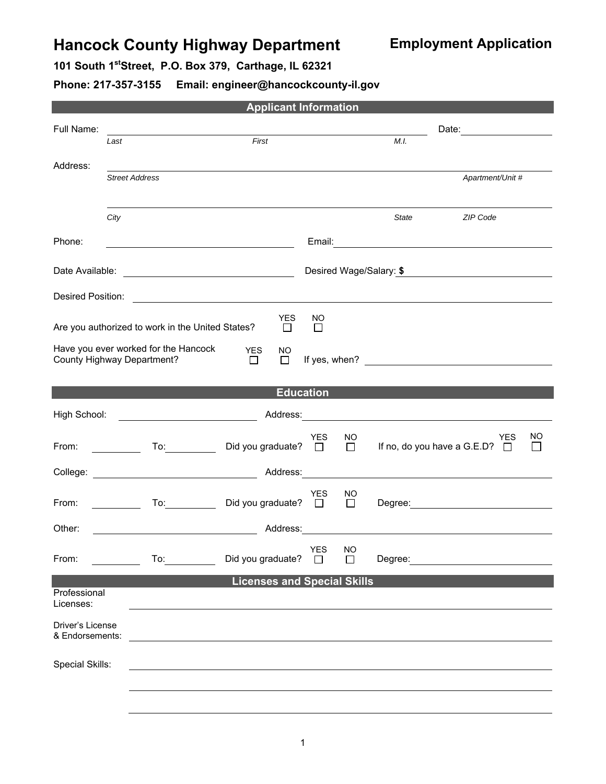## **Hancock County Highway Department**

101 South 1<sup>st</sup>Street, P.O. Box 379, Carthage, IL 62321

**Phone: 217-357-3155 Email: engineer@hancockcounty-il.gov**

| <b>Applicant Information</b>                                                              |                                                                    |                                       |                        |                     |                                           |                  |     |
|-------------------------------------------------------------------------------------------|--------------------------------------------------------------------|---------------------------------------|------------------------|---------------------|-------------------------------------------|------------------|-----|
| Full Name:                                                                                |                                                                    |                                       | Date: ________________ |                     |                                           |                  |     |
|                                                                                           | Last                                                               | First                                 |                        |                     | M.I.                                      |                  |     |
| Address:                                                                                  | <b>Street Address</b>                                              |                                       |                        |                     |                                           | Apartment/Unit # |     |
|                                                                                           | City                                                               |                                       |                        |                     | State                                     | <b>ZIP Code</b>  |     |
| Phone:                                                                                    |                                                                    |                                       |                        |                     |                                           |                  |     |
|                                                                                           |                                                                    |                                       |                        |                     | Desired Wage/Salary: \$                   |                  |     |
|                                                                                           |                                                                    |                                       |                        |                     |                                           |                  |     |
| <b>YES</b><br>NO<br>Are you authorized to work in the United States?<br>$\Box$<br>$\perp$ |                                                                    |                                       |                        |                     |                                           |                  |     |
|                                                                                           | Have you ever worked for the Hancock<br>County Highway Department? | <b>YES</b><br>NO.<br>$\Box$<br>$\Box$ |                        |                     | If yes, when? $\overline{\qquad \qquad }$ |                  |     |
|                                                                                           |                                                                    |                                       |                        |                     | <b>Education Education Education</b>      |                  |     |
| High School:                                                                              |                                                                    |                                       |                        |                     |                                           |                  |     |
| From:                                                                                     |                                                                    | Did you graduate? $\Box$              | YES.                   | NO.<br>$\Box$       | If no, do you have a G.E.D? $\Box$        | <b>YES</b>       | NO. |
|                                                                                           |                                                                    |                                       |                        |                     |                                           |                  |     |
| From:                                                                                     | $\overline{\phantom{a}}$                                           | Did you graduate? $\Box$              | <b>YES</b>             | NO.<br>$\Box$       |                                           |                  |     |
| Other:                                                                                    |                                                                    | Address:                              |                        |                     |                                           |                  |     |
| From:                                                                                     | To:                                                                | Did you graduate?                     | <b>YES</b><br>$\Box$   | <b>NO</b><br>$\Box$ | Degree:                                   |                  |     |
|                                                                                           |                                                                    | <b>Licenses and Special Skills</b>    |                        |                     |                                           |                  |     |
| Professional<br>Licenses:                                                                 |                                                                    |                                       |                        |                     |                                           |                  |     |
| Driver's License<br>& Endorsements:                                                       |                                                                    |                                       |                        |                     |                                           |                  |     |
| Special Skills:                                                                           |                                                                    |                                       |                        |                     |                                           |                  |     |
|                                                                                           |                                                                    |                                       |                        |                     |                                           |                  |     |